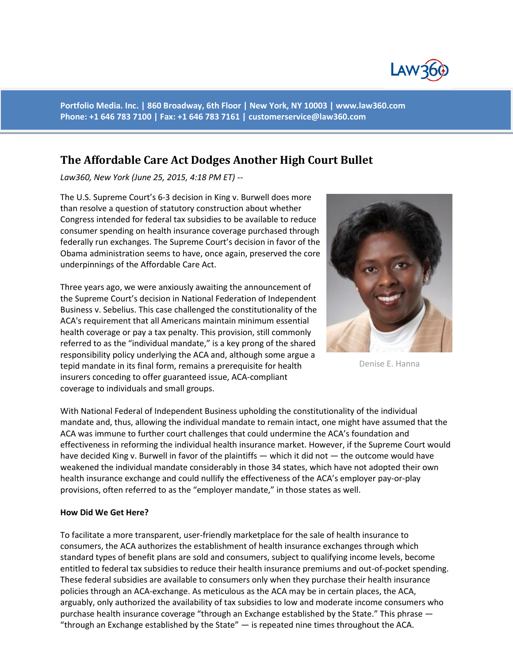

**Portfolio Media. Inc. | 860 Broadway, 6th Floor | New York, NY 10003 | www.law360.com Phone: +1 646 783 7100 | Fax: +1 646 783 7161 | customerservice@law360.com**

## **The Affordable Care Act Dodges Another High Court Bullet**

*Law360, New York (June 25, 2015, 4:18 PM ET) --*

The U.S. Supreme Court's 6-3 decision in King v. Burwell does more than resolve a question of statutory construction about whether Congress intended for federal tax subsidies to be available to reduce consumer spending on health insurance coverage purchased through federally run exchanges. The Supreme Court's decision in favor of the Obama administration seems to have, once again, preserved the core underpinnings of the Affordable Care Act.

Three years ago, we were anxiously awaiting the announcement of the Supreme Court's decision in National Federation of Independent Business v. Sebelius. This case challenged the constitutionality of the ACA's requirement that all Americans maintain minimum essential health coverage or pay a tax penalty. This provision, still commonly referred to as the "individual mandate," is a key prong of the shared responsibility policy underlying the ACA and, although some argue a tepid mandate in its final form, remains a prerequisite for health insurers conceding to offer guaranteed issue, ACA-compliant coverage to individuals and small groups.



Denise E. Hanna

With National Federal of Independent Business upholding the constitutionality of the individual mandate and, thus, allowing the individual mandate to remain intact, one might have assumed that the ACA was immune to further court challenges that could undermine the ACA's foundation and effectiveness in reforming the individual health insurance market. However, if the Supreme Court would have decided King v. Burwell in favor of the plaintiffs — which it did not — the outcome would have weakened the individual mandate considerably in those 34 states, which have not adopted their own health insurance exchange and could nullify the effectiveness of the ACA's employer pay-or-play provisions, often referred to as the "employer mandate," in those states as well.

## **How Did We Get Here?**

To facilitate a more transparent, user-friendly marketplace for the sale of health insurance to consumers, the ACA authorizes the establishment of health insurance exchanges through which standard types of benefit plans are sold and consumers, subject to qualifying income levels, become entitled to federal tax subsidies to reduce their health insurance premiums and out-of-pocket spending. These federal subsidies are available to consumers only when they purchase their health insurance policies through an ACA-exchange. As meticulous as the ACA may be in certain places, the ACA, arguably, only authorized the availability of tax subsidies to low and moderate income consumers who purchase health insurance coverage "through an Exchange established by the State." This phrase — "through an Exchange established by the State"  $-$  is repeated nine times throughout the ACA.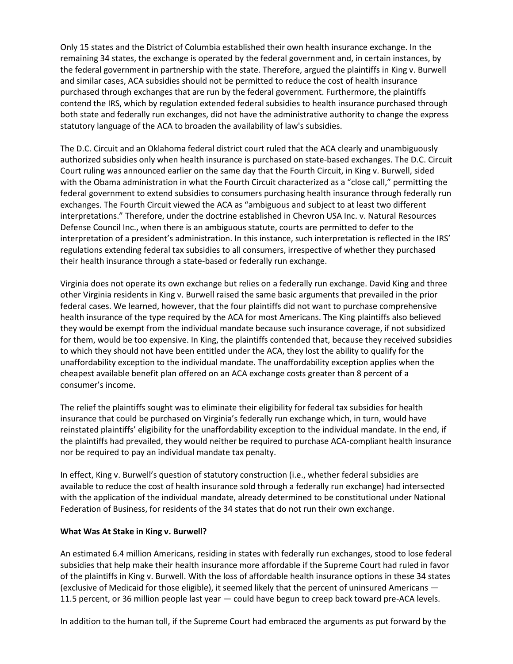Only 15 states and the District of Columbia established their own health insurance exchange. In the remaining 34 states, the exchange is operated by the federal government and, in certain instances, by the federal government in partnership with the state. Therefore, argued the plaintiffs in King v. Burwell and similar cases, ACA subsidies should not be permitted to reduce the cost of health insurance purchased through exchanges that are run by the federal government. Furthermore, the plaintiffs contend the IRS, which by regulation extended federal subsidies to health insurance purchased through both state and federally run exchanges, did not have the administrative authority to change the express statutory language of the ACA to broaden the availability of law's subsidies.

The D.C. Circuit and an Oklahoma federal district court ruled that the ACA clearly and unambiguously authorized subsidies only when health insurance is purchased on state-based exchanges. The D.C. Circuit Court ruling was announced earlier on the same day that the Fourth Circuit, in King v. Burwell, sided with the Obama administration in what the Fourth Circuit characterized as a "close call," permitting the federal government to extend subsidies to consumers purchasing health insurance through federally run exchanges. The Fourth Circuit viewed the ACA as "ambiguous and subject to at least two different interpretations." Therefore, under the doctrine established in Chevron USA Inc. v. Natural Resources Defense Council Inc., when there is an ambiguous statute, courts are permitted to defer to the interpretation of a president's administration. In this instance, such interpretation is reflected in the IRS' regulations extending federal tax subsidies to all consumers, irrespective of whether they purchased their health insurance through a state-based or federally run exchange.

Virginia does not operate its own exchange but relies on a federally run exchange. David King and three other Virginia residents in King v. Burwell raised the same basic arguments that prevailed in the prior federal cases. We learned, however, that the four plaintiffs did not want to purchase comprehensive health insurance of the type required by the ACA for most Americans. The King plaintiffs also believed they would be exempt from the individual mandate because such insurance coverage, if not subsidized for them, would be too expensive. In King, the plaintiffs contended that, because they received subsidies to which they should not have been entitled under the ACA, they lost the ability to qualify for the unaffordability exception to the individual mandate. The unaffordability exception applies when the cheapest available benefit plan offered on an ACA exchange costs greater than 8 percent of a consumer's income.

The relief the plaintiffs sought was to eliminate their eligibility for federal tax subsidies for health insurance that could be purchased on Virginia's federally run exchange which, in turn, would have reinstated plaintiffs' eligibility for the unaffordability exception to the individual mandate. In the end, if the plaintiffs had prevailed, they would neither be required to purchase ACA-compliant health insurance nor be required to pay an individual mandate tax penalty.

In effect, King v. Burwell's question of statutory construction (i.e., whether federal subsidies are available to reduce the cost of health insurance sold through a federally run exchange) had intersected with the application of the individual mandate, already determined to be constitutional under National Federation of Business, for residents of the 34 states that do not run their own exchange.

## **What Was At Stake in King v. Burwell?**

An estimated 6.4 million Americans, residing in states with federally run exchanges, stood to lose federal subsidies that help make their health insurance more affordable if the Supreme Court had ruled in favor of the plaintiffs in King v. Burwell. With the loss of affordable health insurance options in these 34 states (exclusive of Medicaid for those eligible), it seemed likely that the percent of uninsured Americans — 11.5 percent, or 36 million people last year — could have begun to creep back toward pre-ACA levels.

In addition to the human toll, if the Supreme Court had embraced the arguments as put forward by the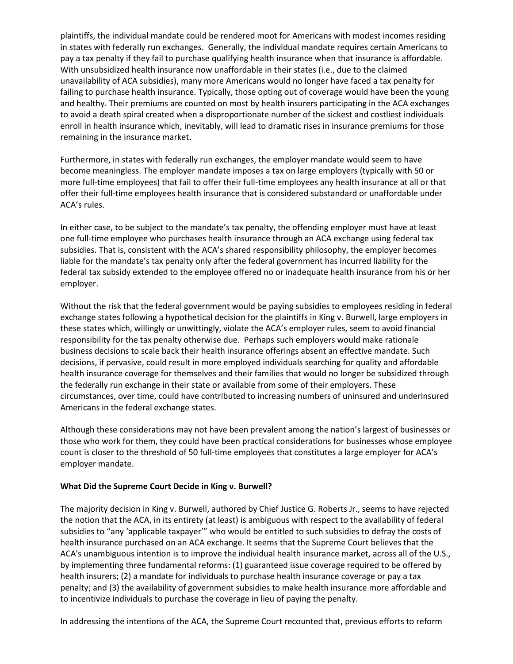plaintiffs, the individual mandate could be rendered moot for Americans with modest incomes residing in states with federally run exchanges. Generally, the individual mandate requires certain Americans to pay a tax penalty if they fail to purchase qualifying health insurance when that insurance is affordable. With unsubsidized health insurance now unaffordable in their states (i.e., due to the claimed unavailability of ACA subsidies), many more Americans would no longer have faced a tax penalty for failing to purchase health insurance. Typically, those opting out of coverage would have been the young and healthy. Their premiums are counted on most by health insurers participating in the ACA exchanges to avoid a death spiral created when a disproportionate number of the sickest and costliest individuals enroll in health insurance which, inevitably, will lead to dramatic rises in insurance premiums for those remaining in the insurance market.

Furthermore, in states with federally run exchanges, the employer mandate would seem to have become meaningless. The employer mandate imposes a tax on large employers (typically with 50 or more full-time employees) that fail to offer their full-time employees any health insurance at all or that offer their full-time employees health insurance that is considered substandard or unaffordable under ACA's rules.

In either case, to be subject to the mandate's tax penalty, the offending employer must have at least one full-time employee who purchases health insurance through an ACA exchange using federal tax subsidies. That is, consistent with the ACA's shared responsibility philosophy, the employer becomes liable for the mandate's tax penalty only after the federal government has incurred liability for the federal tax subsidy extended to the employee offered no or inadequate health insurance from his or her employer.

Without the risk that the federal government would be paying subsidies to employees residing in federal exchange states following a hypothetical decision for the plaintiffs in King v. Burwell, large employers in these states which, willingly or unwittingly, violate the ACA's employer rules, seem to avoid financial responsibility for the tax penalty otherwise due. Perhaps such employers would make rationale business decisions to scale back their health insurance offerings absent an effective mandate. Such decisions, if pervasive, could result in more employed individuals searching for quality and affordable health insurance coverage for themselves and their families that would no longer be subsidized through the federally run exchange in their state or available from some of their employers. These circumstances, over time, could have contributed to increasing numbers of uninsured and underinsured Americans in the federal exchange states.

Although these considerations may not have been prevalent among the nation's largest of businesses or those who work for them, they could have been practical considerations for businesses whose employee count is closer to the threshold of 50 full-time employees that constitutes a large employer for ACA's employer mandate.

## **What Did the Supreme Court Decide in King v. Burwell?**

The majority decision in King v. Burwell, authored by Chief Justice G. Roberts Jr., seems to have rejected the notion that the ACA, in its entirety (at least) is ambiguous with respect to the availability of federal subsidies to "any 'applicable taxpayer'" who would be entitled to such subsidies to defray the costs of health insurance purchased on an ACA exchange. It seems that the Supreme Court believes that the ACA's unambiguous intention is to improve the individual health insurance market, across all of the U.S., by implementing three fundamental reforms: (1) guaranteed issue coverage required to be offered by health insurers; (2) a mandate for individuals to purchase health insurance coverage or pay a tax penalty; and (3) the availability of government subsidies to make health insurance more affordable and to incentivize individuals to purchase the coverage in lieu of paying the penalty.

In addressing the intentions of the ACA, the Supreme Court recounted that, previous efforts to reform